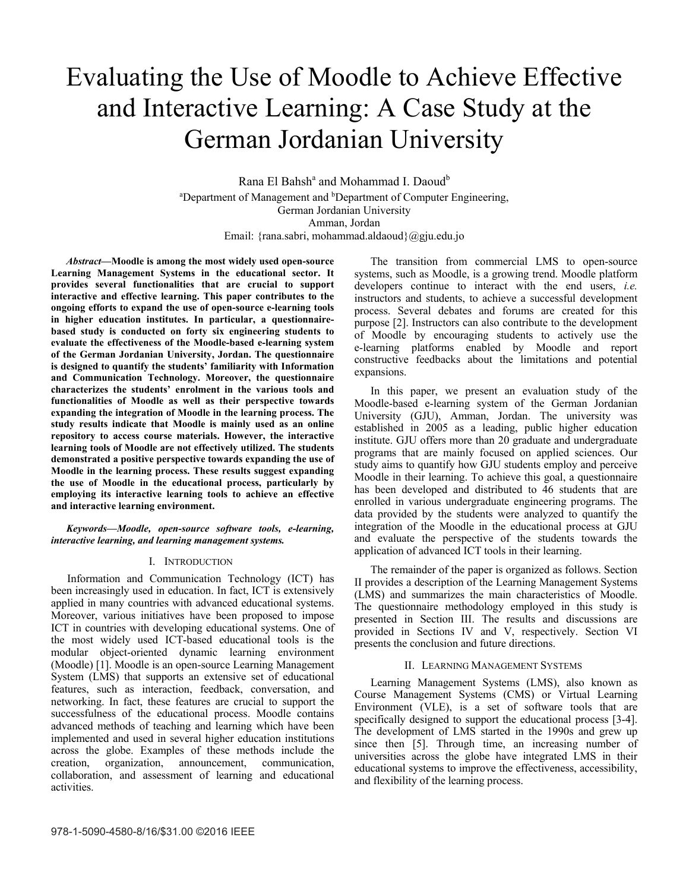# Evaluating the Use of Moodle to Achieve Effective and Interactive Learning: A Case Study at the German Jordanian University

Rana El Bahsh<sup>a</sup> and Mohammad I. Daoud<sup>b</sup> <sup>a</sup>Department of Management and <sup>b</sup>Department of Computer Engineering, German Jordanian University Amman, Jordan Email: {rana.sabri, mohammad.aldaoud}@gju.edu.jo

*Abstract***—Moodle is among the most widely used open-source Learning Management Systems in the educational sector. It provides several functionalities that are crucial to support interactive and effective learning. This paper contributes to the ongoing efforts to expand the use of open-source e-learning tools in higher education institutes. In particular, a questionnairebased study is conducted on forty six engineering students to evaluate the effectiveness of the Moodle-based e-learning system of the German Jordanian University, Jordan. The questionnaire is designed to quantify the students' familiarity with Information and Communication Technology. Moreover, the questionnaire characterizes the students' enrolment in the various tools and functionalities of Moodle as well as their perspective towards expanding the integration of Moodle in the learning process. The study results indicate that Moodle is mainly used as an online repository to access course materials. However, the interactive learning tools of Moodle are not effectively utilized. The students demonstrated a positive perspective towards expanding the use of Moodle in the learning process. These results suggest expanding the use of Moodle in the educational process, particularly by employing its interactive learning tools to achieve an effective and interactive learning environment.** 

#### *Keywords—Moodle, open-source software tools, e-learning, interactive learning, and learning management systems.*

## I. INTRODUCTION

Information and Communication Technology (ICT) has been increasingly used in education. In fact, ICT is extensively applied in many countries with advanced educational systems. Moreover, various initiatives have been proposed to impose ICT in countries with developing educational systems. One of the most widely used ICT-based educational tools is the modular object-oriented dynamic learning environment (Moodle) [1]. Moodle is an open-source Learning Management System (LMS) that supports an extensive set of educational features, such as interaction, feedback, conversation, and networking. In fact, these features are crucial to support the successfulness of the educational process. Moodle contains advanced methods of teaching and learning which have been implemented and used in several higher education institutions across the globe. Examples of these methods include the creation, organization, announcement, communication, collaboration, and assessment of learning and educational activities.

The transition from commercial LMS to open-source systems, such as Moodle, is a growing trend. Moodle platform developers continue to interact with the end users, *i.e.* instructors and students, to achieve a successful development process. Several debates and forums are created for this purpose [2]. Instructors can also contribute to the development of Moodle by encouraging students to actively use the e-learning platforms enabled by Moodle and report constructive feedbacks about the limitations and potential expansions.

In this paper, we present an evaluation study of the Moodle-based e-learning system of the German Jordanian University (GJU), Amman, Jordan. The university was established in 2005 as a leading, public higher education institute. GJU offers more than 20 graduate and undergraduate programs that are mainly focused on applied sciences. Our study aims to quantify how GJU students employ and perceive Moodle in their learning. To achieve this goal, a questionnaire has been developed and distributed to 46 students that are enrolled in various undergraduate engineering programs. The data provided by the students were analyzed to quantify the integration of the Moodle in the educational process at GJU and evaluate the perspective of the students towards the application of advanced ICT tools in their learning.

The remainder of the paper is organized as follows. Section II provides a description of the Learning Management Systems (LMS) and summarizes the main characteristics of Moodle. The questionnaire methodology employed in this study is presented in Section III. The results and discussions are provided in Sections IV and V, respectively. Section VI presents the conclusion and future directions.

#### II. LEARNING MANAGEMENT SYSTEMS

Learning Management Systems (LMS), also known as Course Management Systems (CMS) or Virtual Learning Environment (VLE), is a set of software tools that are specifically designed to support the educational process [3-4]. The development of LMS started in the 1990s and grew up since then [5]. Through time, an increasing number of universities across the globe have integrated LMS in their educational systems to improve the effectiveness, accessibility, and flexibility of the learning process.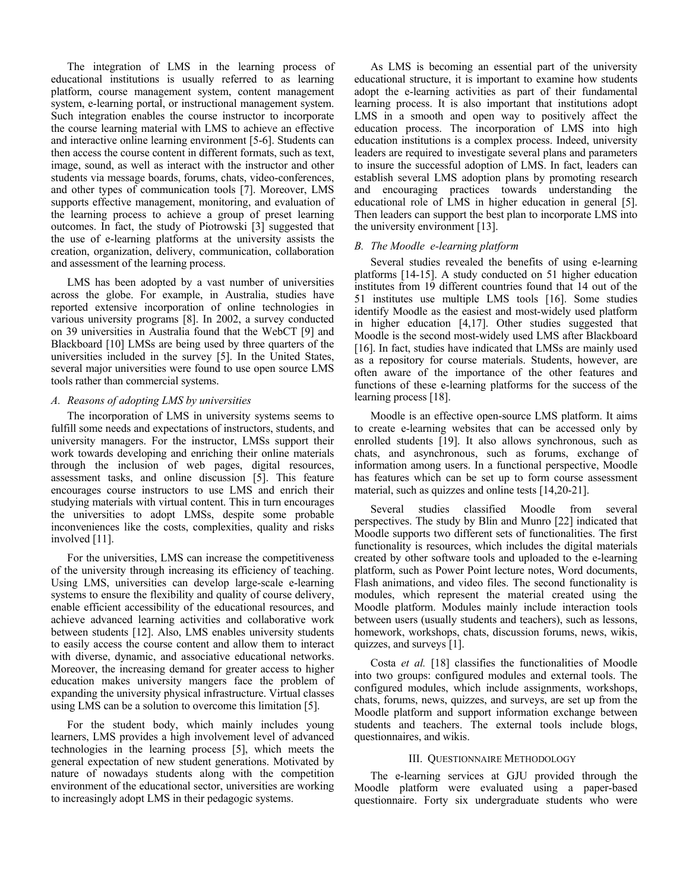The integration of LMS in the learning process of educational institutions is usually referred to as learning platform, course management system, content management system, e-learning portal, or instructional management system. Such integration enables the course instructor to incorporate the course learning material with LMS to achieve an effective and interactive online learning environment [5-6]. Students can then access the course content in different formats, such as text, image, sound, as well as interact with the instructor and other students via message boards, forums, chats, video-conferences, and other types of communication tools [7]. Moreover, LMS supports effective management, monitoring, and evaluation of the learning process to achieve a group of preset learning outcomes. In fact, the study of Piotrowski [3] suggested that the use of e-learning platforms at the university assists the creation, organization, delivery, communication, collaboration and assessment of the learning process.

LMS has been adopted by a vast number of universities across the globe. For example, in Australia, studies have reported extensive incorporation of online technologies in various university programs [8]. In 2002, a survey conducted on 39 universities in Australia found that the WebCT [9] and Blackboard [10] LMSs are being used by three quarters of the universities included in the survey [5]. In the United States, several major universities were found to use open source LMS tools rather than commercial systems.

## *A. Reasons of adopting LMS by universities*

The incorporation of LMS in university systems seems to fulfill some needs and expectations of instructors, students, and university managers. For the instructor, LMSs support their work towards developing and enriching their online materials through the inclusion of web pages, digital resources, assessment tasks, and online discussion [5]. This feature encourages course instructors to use LMS and enrich their studying materials with virtual content. This in turn encourages the universities to adopt LMSs, despite some probable inconveniences like the costs, complexities, quality and risks involved [11].

For the universities, LMS can increase the competitiveness of the university through increasing its efficiency of teaching. Using LMS, universities can develop large-scale e-learning systems to ensure the flexibility and quality of course delivery, enable efficient accessibility of the educational resources, and achieve advanced learning activities and collaborative work between students [12]. Also, LMS enables university students to easily access the course content and allow them to interact with diverse, dynamic, and associative educational networks. Moreover, the increasing demand for greater access to higher education makes university mangers face the problem of expanding the university physical infrastructure. Virtual classes using LMS can be a solution to overcome this limitation [5].

For the student body, which mainly includes young learners, LMS provides a high involvement level of advanced technologies in the learning process [5], which meets the general expectation of new student generations. Motivated by nature of nowadays students along with the competition environment of the educational sector, universities are working to increasingly adopt LMS in their pedagogic systems.

As LMS is becoming an essential part of the university educational structure, it is important to examine how students adopt the e-learning activities as part of their fundamental learning process. It is also important that institutions adopt LMS in a smooth and open way to positively affect the education process. The incorporation of LMS into high education institutions is a complex process. Indeed, university leaders are required to investigate several plans and parameters to insure the successful adoption of LMS. In fact, leaders can establish several LMS adoption plans by promoting research and encouraging practices towards understanding the educational role of LMS in higher education in general [5]. Then leaders can support the best plan to incorporate LMS into the university environment [13].

#### *B. The Moodle e-learning platform*

Several studies revealed the benefits of using e-learning platforms [14-15]. A study conducted on 51 higher education institutes from 19 different countries found that 14 out of the 51 institutes use multiple LMS tools [16]. Some studies identify Moodle as the easiest and most-widely used platform in higher education [4,17]. Other studies suggested that Moodle is the second most-widely used LMS after Blackboard [16]. In fact, studies have indicated that LMSs are mainly used as a repository for course materials. Students, however, are often aware of the importance of the other features and functions of these e-learning platforms for the success of the learning process [18].

Moodle is an effective open-source LMS platform. It aims to create e-learning websites that can be accessed only by enrolled students [19]. It also allows synchronous, such as chats, and asynchronous, such as forums, exchange of information among users. In a functional perspective, Moodle has features which can be set up to form course assessment material, such as quizzes and online tests [14,20-21].

Several studies classified Moodle from several perspectives. The study by Blin and Munro [22] indicated that Moodle supports two different sets of functionalities. The first functionality is resources, which includes the digital materials created by other software tools and uploaded to the e-learning platform, such as Power Point lecture notes, Word documents, Flash animations, and video files. The second functionality is modules, which represent the material created using the Moodle platform. Modules mainly include interaction tools between users (usually students and teachers), such as lessons, homework, workshops, chats, discussion forums, news, wikis, quizzes, and surveys [1].

Costa *et al.* [18] classifies the functionalities of Moodle into two groups: configured modules and external tools. The configured modules, which include assignments, workshops, chats, forums, news, quizzes, and surveys, are set up from the Moodle platform and support information exchange between students and teachers. The external tools include blogs, questionnaires, and wikis.

### III. QUESTIONNAIRE METHODOLOGY

The e-learning services at GJU provided through the Moodle platform were evaluated using a paper-based questionnaire. Forty six undergraduate students who were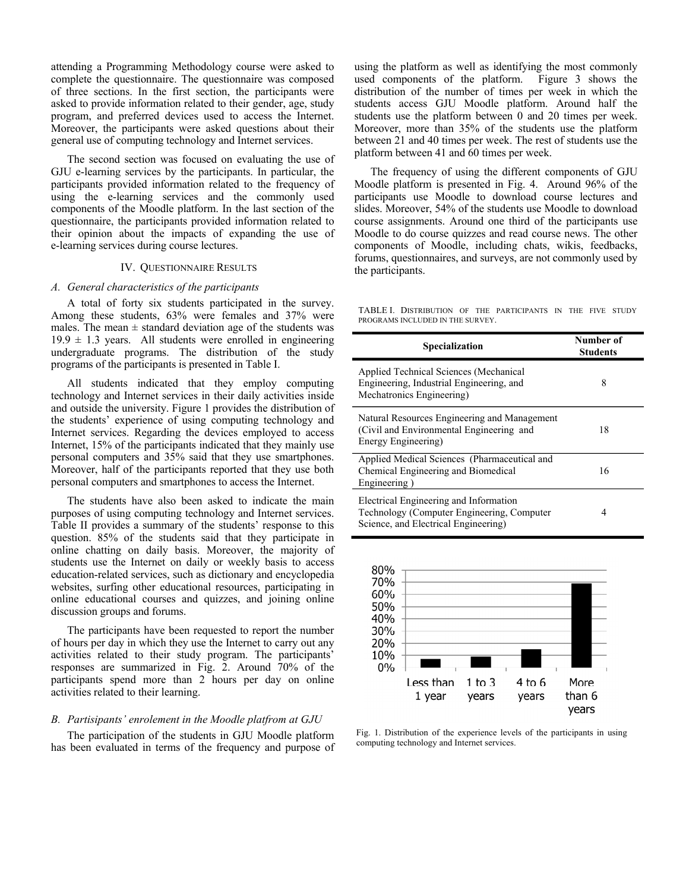attending a Programming Methodology course were asked to complete the questionnaire. The questionnaire was composed of three sections. In the first section, the participants were asked to provide information related to their gender, age, study program, and preferred devices used to access the Internet. Moreover, the participants were asked questions about their general use of computing technology and Internet services.

The second section was focused on evaluating the use of GJU e-learning services by the participants. In particular, the participants provided information related to the frequency of using the e-learning services and the commonly used components of the Moodle platform. In the last section of the questionnaire, the participants provided information related to their opinion about the impacts of expanding the use of e-learning services during course lectures.

#### IV. QUESTIONNAIRE RESULTS

#### *A. General characteristics of the participants*

A total of forty six students participated in the survey. Among these students, 63% were females and 37% were males. The mean  $\pm$  standard deviation age of the students was  $19.9 \pm 1.3$  years. All students were enrolled in engineering undergraduate programs. The distribution of the study programs of the participants is presented in Table I.

All students indicated that they employ computing technology and Internet services in their daily activities inside and outside the university. Figure 1 provides the distribution of the students' experience of using computing technology and Internet services. Regarding the devices employed to access Internet, 15% of the participants indicated that they mainly use personal computers and 35% said that they use smartphones. Moreover, half of the participants reported that they use both personal computers and smartphones to access the Internet.

The students have also been asked to indicate the main purposes of using computing technology and Internet services. Table II provides a summary of the students' response to this question. 85% of the students said that they participate in online chatting on daily basis. Moreover, the majority of students use the Internet on daily or weekly basis to access education-related services, such as dictionary and encyclopedia websites, surfing other educational resources, participating in online educational courses and quizzes, and joining online discussion groups and forums.

The participants have been requested to report the number of hours per day in which they use the Internet to carry out any activities related to their study program. The participants' responses are summarized in Fig. 2. Around 70% of the participants spend more than 2 hours per day on online activities related to their learning.

### *B. Partisipants' enrolement in the Moodle platfrom at GJU*

The participation of the students in GJU Moodle platform has been evaluated in terms of the frequency and purpose of using the platform as well as identifying the most commonly used components of the platform. Figure 3 shows the distribution of the number of times per week in which the students access GJU Moodle platform. Around half the students use the platform between 0 and 20 times per week. Moreover, more than 35% of the students use the platform between 21 and 40 times per week. The rest of students use the platform between 41 and 60 times per week.

The frequency of using the different components of GJU Moodle platform is presented in Fig. 4. Around 96% of the participants use Moodle to download course lectures and slides. Moreover, 54% of the students use Moodle to download course assignments. Around one third of the participants use Moodle to do course quizzes and read course news. The other components of Moodle, including chats, wikis, feedbacks, forums, questionnaires, and surveys, are not commonly used by the participants.

TABLE I. DISTRIBUTION OF THE PARTICIPANTS IN THE FIVE STUDY PROGRAMS INCLUDED IN THE SURVEY.

| <b>Specialization</b>                                                                                                        | Number of<br><b>Students</b> |
|------------------------------------------------------------------------------------------------------------------------------|------------------------------|
| Applied Technical Sciences (Mechanical<br>Engineering, Industrial Engineering, and<br>Mechatronics Engineering)              | 8                            |
| Natural Resources Engineering and Management<br>(Civil and Environmental Engineering and<br>Energy Engineering)              | 18                           |
| Applied Medical Sciences (Pharmaceutical and<br>Chemical Engineering and Biomedical<br>Engineering)                          | 16                           |
| Electrical Engineering and Information<br>Technology (Computer Engineering, Computer<br>Science, and Electrical Engineering) | 4                            |



Fig. 1. Distribution of the experience levels of the participants in using computing technology and Internet services.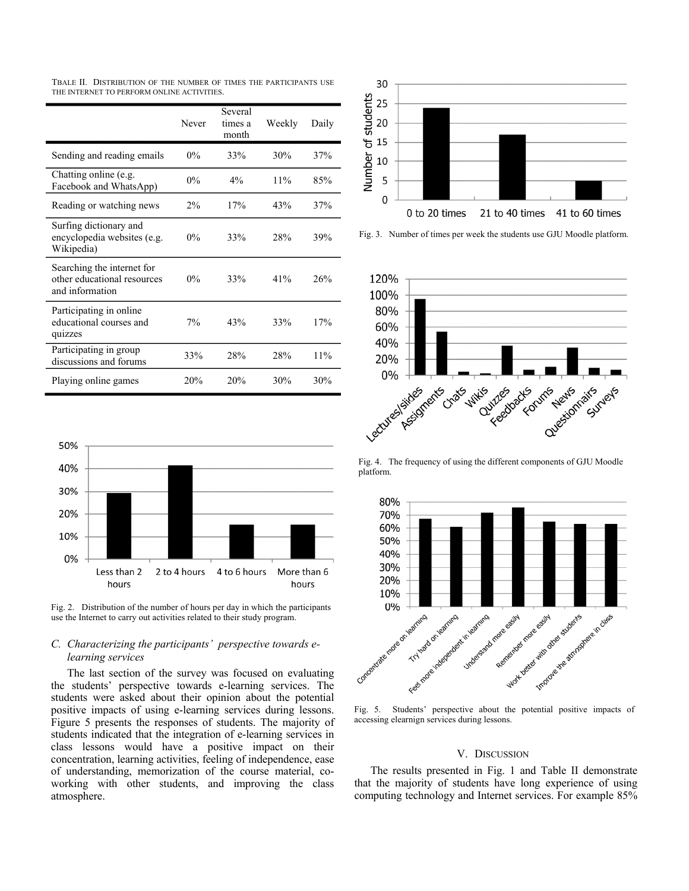TBALE II. DISTRIBUTION OF THE NUMBER OF TIMES THE PARTICIPANTS USE THE INTERNET TO PERFORM ONLINE ACTIVITIES.

|                                                                              | Never | Several<br>times a<br>month | Weekly | Daily |
|------------------------------------------------------------------------------|-------|-----------------------------|--------|-------|
| Sending and reading emails                                                   | $0\%$ | 33%                         | 30%    | 37%   |
| Chatting online (e.g.<br>Facebook and WhatsApp)                              | $0\%$ | $4\%$                       | 11%    | 85%   |
| Reading or watching news                                                     | $2\%$ | 17%                         | 43%    | 37%   |
| Surfing dictionary and<br>encyclopedia websites (e.g.<br>Wikipedia)          | $0\%$ | 33%                         | 28%    | 39%   |
| Searching the internet for<br>other educational resources<br>and information | $0\%$ | 33%                         | 41%    | 26%   |
| Participating in online<br>educational courses and<br>quizzes                | 7%    | 43%                         | 33%    | 17%   |
| Participating in group<br>discussions and forums                             | 33%   | 28%                         | 28%    | 11%   |
| Playing online games                                                         | 20%   | 20%                         | 30%    | 30%   |



Fig. 2. Distribution of the number of hours per day in which the participants use the Internet to carry out activities related to their study program.

# *C. Characterizing the participants' perspective towards elearning services*

The last section of the survey was focused on evaluating the students' perspective towards e-learning services. The students were asked about their opinion about the potential positive impacts of using e-learning services during lessons. Figure 5 presents the responses of students. The majority of students indicated that the integration of e-learning services in class lessons would have a positive impact on their concentration, learning activities, feeling of independence, ease of understanding, memorization of the course material, coworking with other students, and improving the class atmosphere.



Fig. 3. Number of times per week the students use GJU Moodle platform.



Fig. 4. The frequency of using the different components of GJU Moodle platform.



accessing elearnign services during lessons.

#### V. DISCUSSION

The results presented in Fig. 1 and Table II demonstrate that the majority of students have long experience of using computing technology and Internet services. For example 85%